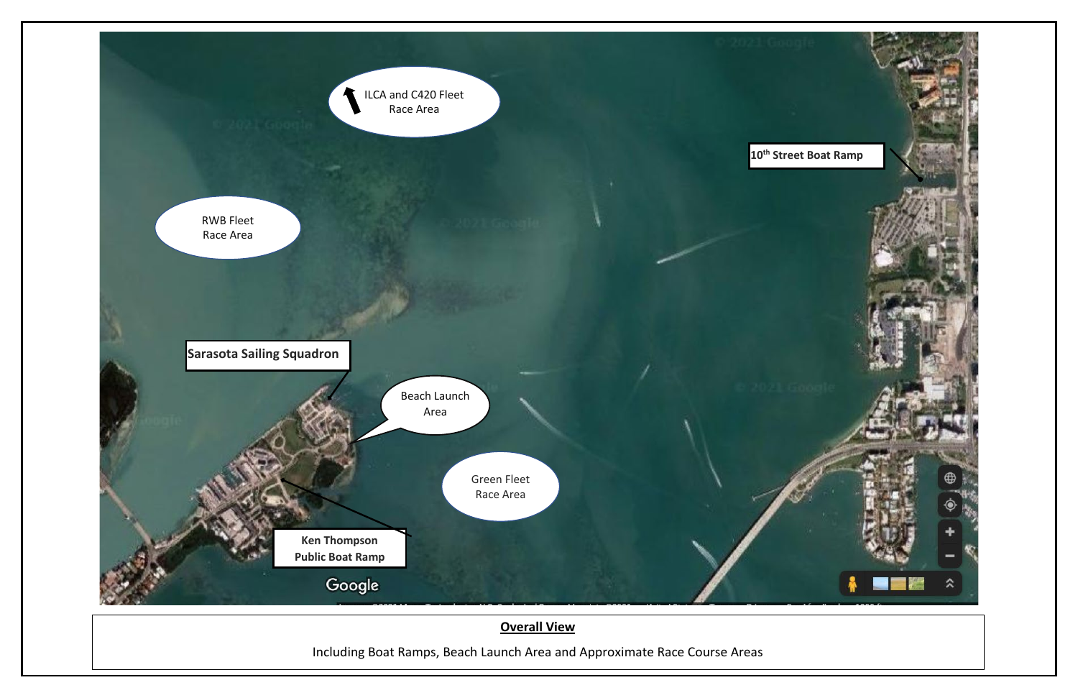

## **Overall View**

Including Boat Ramps, Beach Launch Area and Approximate Race Course Areas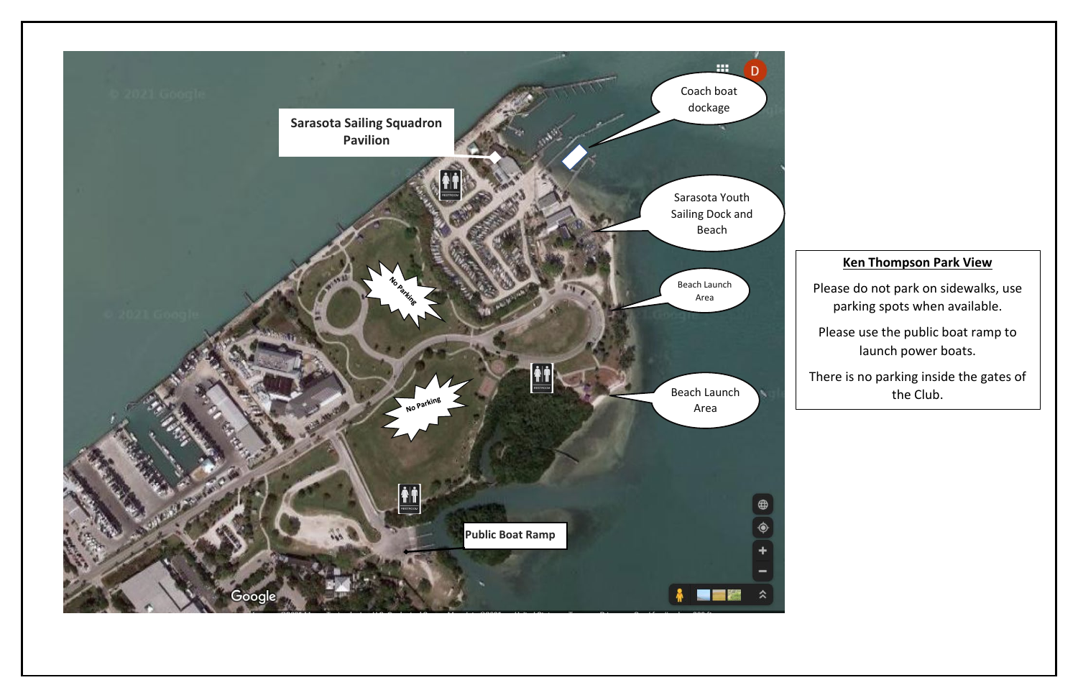## **Ken Thompson Park View**

Please do not park on sidewalks, use parking spots when available.

Please use the public boat ramp to launch power boats.

There is no parking inside the gates of the Club.

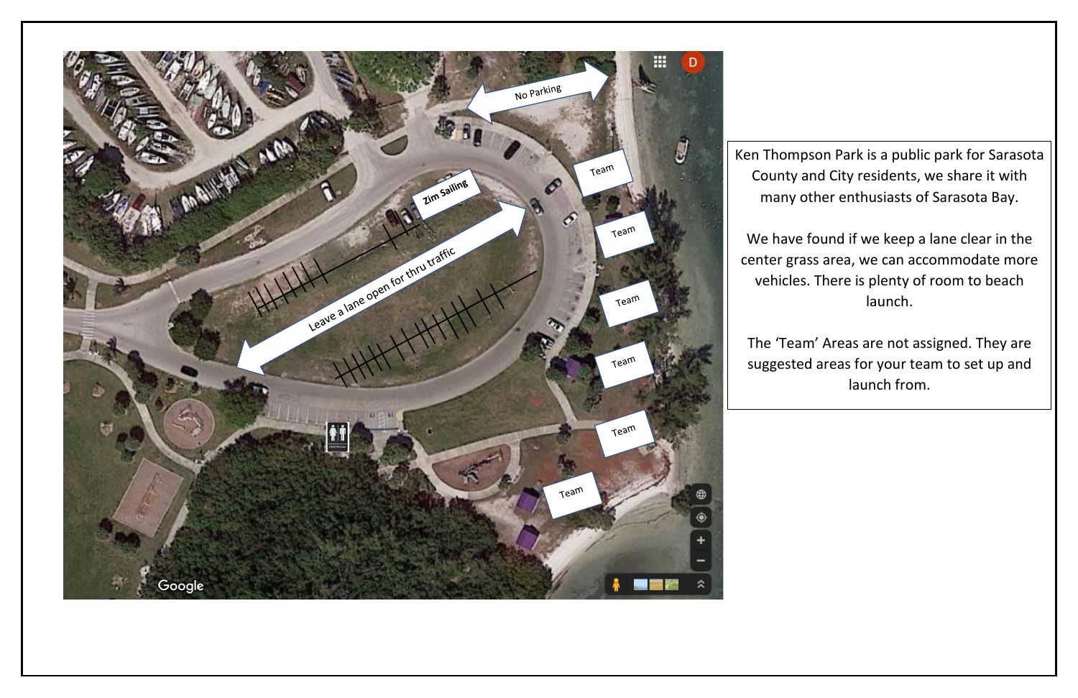

Ken Thompson Park is a public park for Sarasota County and City residents, we share it with many other enthusiasts of Sarasota Bay.

We have found if we keep a lane clear in the center grass area, we can accommodate more vehicles. There is plenty of room to beach launch.

The 'Team' Areas are not assigned. They are suggested areas for your team to set up and launch from.